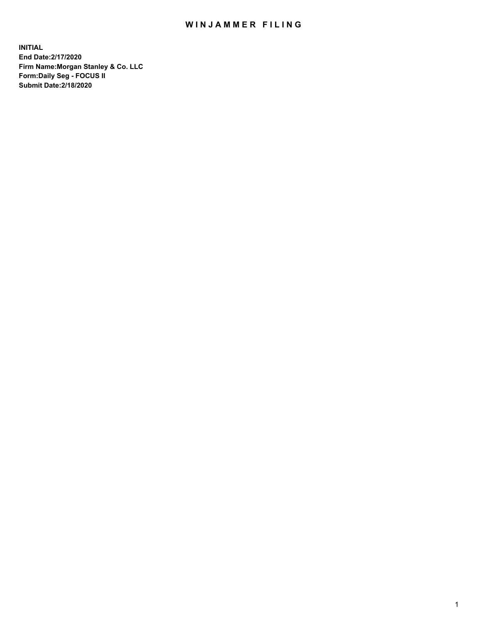## WIN JAMMER FILING

**INITIAL End Date:2/17/2020 Firm Name:Morgan Stanley & Co. LLC Form:Daily Seg - FOCUS II Submit Date:2/18/2020**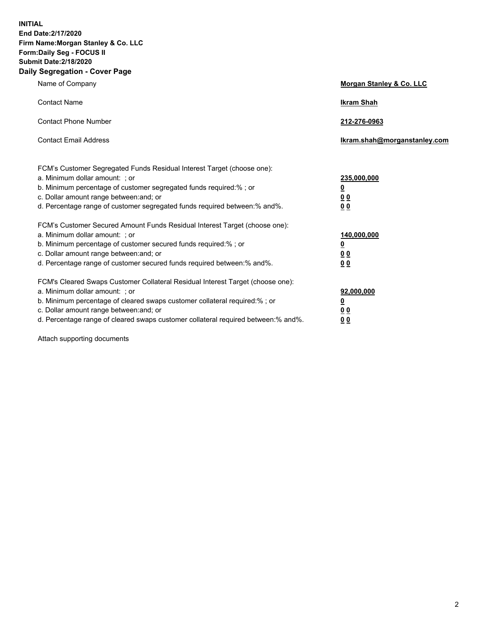**INITIAL End Date:2/17/2020 Firm Name:Morgan Stanley & Co. LLC Form:Daily Seg - FOCUS II Submit Date:2/18/2020 Daily Segregation - Cover Page**

| Name of Company                                                                                                                                                                              | Morgan Stanley & Co. LLC         |
|----------------------------------------------------------------------------------------------------------------------------------------------------------------------------------------------|----------------------------------|
| <b>Contact Name</b>                                                                                                                                                                          | <b>Ikram Shah</b>                |
| <b>Contact Phone Number</b>                                                                                                                                                                  | 212-276-0963                     |
| <b>Contact Email Address</b>                                                                                                                                                                 | Ikram.shah@morganstanley.com     |
| FCM's Customer Segregated Funds Residual Interest Target (choose one):<br>a. Minimum dollar amount: ; or                                                                                     | 235,000,000                      |
| b. Minimum percentage of customer segregated funds required:% ; or<br>c. Dollar amount range between: and; or<br>d. Percentage range of customer segregated funds required between: % and %. | <u>0</u><br><u>0 0</u><br>00     |
| FCM's Customer Secured Amount Funds Residual Interest Target (choose one):                                                                                                                   |                                  |
| a. Minimum dollar amount: ; or<br>b. Minimum percentage of customer secured funds required:%; or                                                                                             | 140,000,000<br><u>0</u>          |
| c. Dollar amount range between: and; or<br>d. Percentage range of customer secured funds required between:% and%.                                                                            | 0 <sub>0</sub><br>0 <sub>0</sub> |
| FCM's Cleared Swaps Customer Collateral Residual Interest Target (choose one):<br>a. Minimum dollar amount: ; or                                                                             | 92,000,000                       |
| b. Minimum percentage of cleared swaps customer collateral required:% ; or<br>c. Dollar amount range between: and; or                                                                        | <u>0</u><br>0 Q                  |
| d. Percentage range of cleared swaps customer collateral required between:% and%.                                                                                                            | 00                               |

Attach supporting documents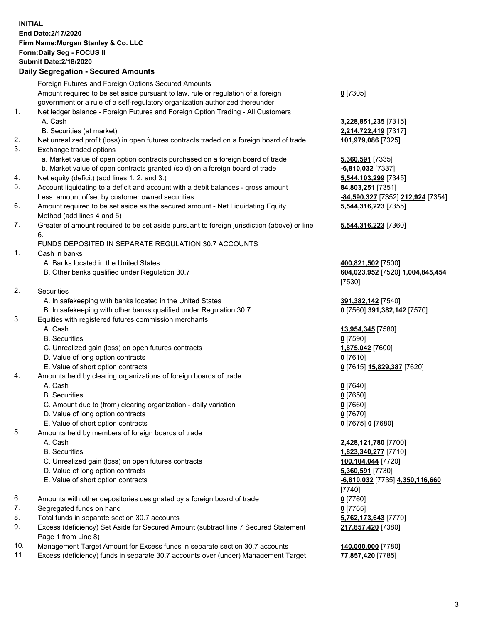## **INITIAL End Date:2/17/2020 Firm Name:Morgan Stanley & Co. LLC Form:Daily Seg - FOCUS II Submit Date:2/18/2020**

## **Daily Segregation - Secured Amounts**

|    | Foreign Futures and Foreign Options Secured Amounts                                         |                                   |
|----|---------------------------------------------------------------------------------------------|-----------------------------------|
|    | Amount required to be set aside pursuant to law, rule or regulation of a foreign            | $0$ [7305]                        |
|    | government or a rule of a self-regulatory organization authorized thereunder                |                                   |
| 1. | Net ledger balance - Foreign Futures and Foreign Option Trading - All Customers             |                                   |
|    | A. Cash                                                                                     | 3,228,851,235 [7315]              |
|    | B. Securities (at market)                                                                   | 2,214,722,419 [7317]              |
| 2. | Net unrealized profit (loss) in open futures contracts traded on a foreign board of trade   | 101,979,086 [7325]                |
| 3. | Exchange traded options                                                                     |                                   |
|    | a. Market value of open option contracts purchased on a foreign board of trade              | 5,360,591 [7335]                  |
|    | b. Market value of open contracts granted (sold) on a foreign board of trade                | $-6,810,032$ [7337]               |
| 4. | Net equity (deficit) (add lines 1.2. and 3.)                                                | 5,544,103,299 [7345]              |
| 5. | Account liquidating to a deficit and account with a debit balances - gross amount           | 84,803,251 [7351]                 |
|    | Less: amount offset by customer owned securities                                            | -84,590,327 [7352] 212,924 [7354] |
| 6. | Amount required to be set aside as the secured amount - Net Liquidating Equity              | 5,544,316,223 [7355]              |
|    | Method (add lines 4 and 5)                                                                  |                                   |
| 7. | Greater of amount required to be set aside pursuant to foreign jurisdiction (above) or line | 5,544,316,223 [7360]              |
|    | 6.                                                                                          |                                   |
|    | FUNDS DEPOSITED IN SEPARATE REGULATION 30.7 ACCOUNTS                                        |                                   |
| 1. | Cash in banks                                                                               |                                   |
|    | A. Banks located in the United States                                                       | 400,821,502 [7500]                |
|    | B. Other banks qualified under Regulation 30.7                                              | 604,023,952 [7520] 1,004,845,454  |
|    |                                                                                             | [7530]                            |
| 2. | Securities                                                                                  |                                   |
|    | A. In safekeeping with banks located in the United States                                   | 391,382,142 [7540]                |
|    | B. In safekeeping with other banks qualified under Regulation 30.7                          | 0 [7560] 391,382,142 [7570]       |
| 3. | Equities with registered futures commission merchants                                       |                                   |
|    | A. Cash                                                                                     | 13,954,345 [7580]                 |
|    | <b>B.</b> Securities                                                                        | $0$ [7590]                        |
|    | C. Unrealized gain (loss) on open futures contracts                                         | 1,875,042 [7600]                  |
|    | D. Value of long option contracts                                                           | $0$ [7610]                        |
|    | E. Value of short option contracts                                                          | 0 [7615] 15,829,387 [7620]        |
| 4. | Amounts held by clearing organizations of foreign boards of trade                           |                                   |
|    | A. Cash                                                                                     | $0$ [7640]                        |
|    | <b>B.</b> Securities                                                                        | $0$ [7650]                        |
|    | C. Amount due to (from) clearing organization - daily variation                             | $0$ [7660]                        |
|    | D. Value of long option contracts                                                           | $0$ [7670]                        |
|    | E. Value of short option contracts                                                          | 0 [7675] 0 [7680]                 |
| 5. | Amounts held by members of foreign boards of trade                                          |                                   |
|    | A. Cash                                                                                     | 2,428,121,780 [7700]              |
|    | <b>B.</b> Securities                                                                        | 1,823,340,277 [7710]              |
|    | C. Unrealized gain (loss) on open futures contracts                                         | 100,104,044 [7720]                |
|    | D. Value of long option contracts                                                           | 5,360,591 [7730]                  |
|    | E. Value of short option contracts                                                          | -6,810,032 [7735] 4,350,116,660   |
|    |                                                                                             | [7740]                            |
| 6. | Amounts with other depositories designated by a foreign board of trade                      | $0$ [7760]                        |
| 7. | Segregated funds on hand                                                                    | $0$ [7765]                        |
| 8. | Total funds in separate section 30.7 accounts                                               | 5,762,173,643 [7770]              |
| 9. | Excess (deficiency) Set Aside for Secured Amount (subtract line 7 Secured Statement         | 217,857,420 [7380]                |
|    | Page 1 from Line 8)                                                                         |                                   |
|    |                                                                                             |                                   |

- 10. Management Target Amount for Excess funds in separate section 30.7 accounts **140,000,000** [7780]
- 11. Excess (deficiency) funds in separate 30.7 accounts over (under) Management Target **77,857,420** [7785]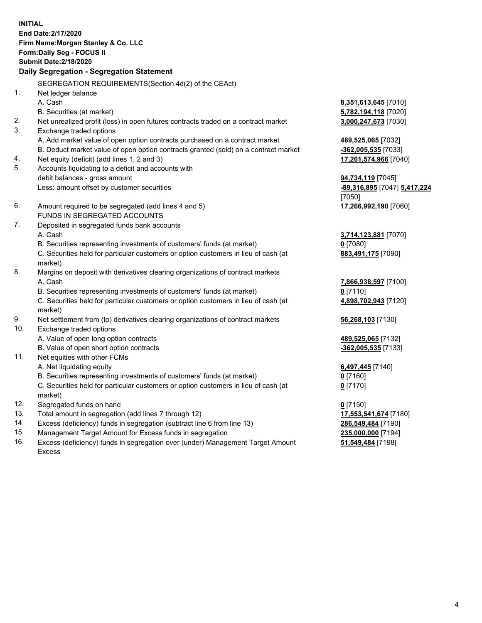**INITIAL End Date:2/17/2020 Firm Name:Morgan Stanley & Co. LLC Form:Daily Seg - FOCUS II Submit Date:2/18/2020 Daily Segregation - Segregation Statement** SEGREGATION REQUIREMENTS(Section 4d(2) of the CEAct) 1. Net ledger balance A. Cash **8,351,613,645** [7010] B. Securities (at market) **5,782,194,118** [7020] 2. Net unrealized profit (loss) in open futures contracts traded on a contract market **3,000,247,673** [7030] 3. Exchange traded options A. Add market value of open option contracts purchased on a contract market **489,525,065** [7032] B. Deduct market value of open option contracts granted (sold) on a contract market **-362,005,535** [7033] 4. Net equity (deficit) (add lines 1, 2 and 3) **17,261,574,966** [7040] 5. Accounts liquidating to a deficit and accounts with debit balances - gross amount **94,734,119** [7045] Less: amount offset by customer securities **-89,316,895** [7047] **5,417,224** [7050] 6. Amount required to be segregated (add lines 4 and 5) **17,266,992,190** [7060] FUNDS IN SEGREGATED ACCOUNTS 7. Deposited in segregated funds bank accounts A. Cash **3,714,123,881** [7070] B. Securities representing investments of customers' funds (at market) **0** [7080] C. Securities held for particular customers or option customers in lieu of cash (at market) **883,491,175** [7090] 8. Margins on deposit with derivatives clearing organizations of contract markets A. Cash **7,866,938,597** [7100] B. Securities representing investments of customers' funds (at market) **0** [7110] C. Securities held for particular customers or option customers in lieu of cash (at market) **4,898,702,943** [7120] 9. Net settlement from (to) derivatives clearing organizations of contract markets **56,268,103** [7130] 10. Exchange traded options A. Value of open long option contracts **489,525,065** [7132] B. Value of open short option contracts **-362,005,535** [7133] 11. Net equities with other FCMs A. Net liquidating equity **6,497,445** [7140] B. Securities representing investments of customers' funds (at market) **0** [7160] C. Securities held for particular customers or option customers in lieu of cash (at market) **0** [7170] 12. Segregated funds on hand **0** [7150] 13. Total amount in segregation (add lines 7 through 12) **17,553,541,674** [7180] 14. Excess (deficiency) funds in segregation (subtract line 6 from line 13) **286,549,484** [7190]

- 15. Management Target Amount for Excess funds in segregation **235,000,000** [7194]
- 16. Excess (deficiency) funds in segregation over (under) Management Target Amount Excess

**51,549,484** [7198]